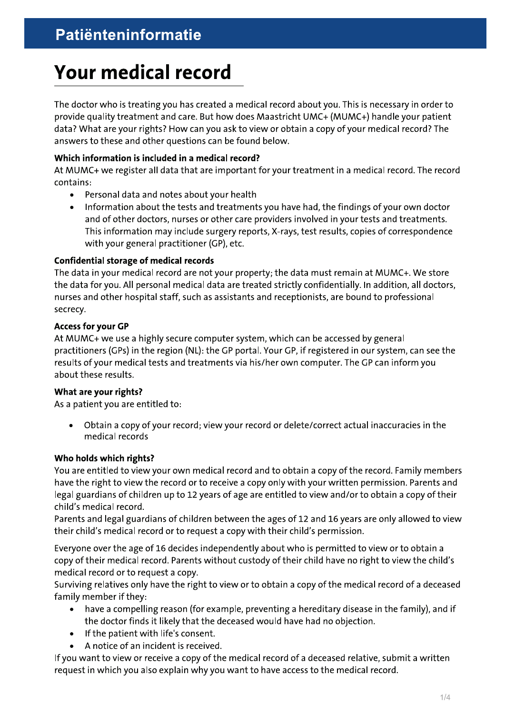# **Your medical record**

The doctor who is treating you has created a medical record about you. This is necessary in order to provide quality treatment and care. But how does Maastricht UMC+ (MUMC+) handle your patient data? What are your rights? How can you ask to view or obtain a copy of your medical record? The answers to these and other questions can be found below.

#### Which information is included in a medical record?

At MUMC+ we register all data that are important for your treatment in a medical record. The record contains:

- Personal data and notes about your health  $\bullet$
- Information about the tests and treatments you have had, the findings of your own doctor  $\bullet$ and of other doctors, nurses or other care providers involved in your tests and treatments. This information may include surgery reports, X-rays, test results, copies of correspondence with your general practitioner (GP), etc.

#### **Confidential storage of medical records**

The data in your medical record are not your property; the data must remain at MUMC+. We store the data for you. All personal medical data are treated strictly confidentially. In addition, all doctors, nurses and other hospital staff, such as assistants and receptionists, are bound to professional secrecy.

#### **Access for your GP**

At MUMC+ we use a highly secure computer system, which can be accessed by general practitioners (GPs) in the region (NL): the GP portal. Your GP, if registered in our system, can see the results of your medical tests and treatments via his/her own computer. The GP can inform you about these results.

#### What are your rights?

As a patient you are entitled to:

Obtain a copy of your record; view your record or delete/correct actual inaccuracies in the  $\bullet$ medical records

#### Who holds which rights?

You are entitled to view your own medical record and to obtain a copy of the record. Family members have the right to view the record or to receive a copy only with your written permission. Parents and legal guardians of children up to 12 years of age are entitled to view and/or to obtain a copy of their child's medical record.

Parents and legal guardians of children between the ages of 12 and 16 years are only allowed to view their child's medical record or to request a copy with their child's permission.

Everyone over the age of 16 decides independently about who is permitted to view or to obtain a copy of their medical record. Parents without custody of their child have no right to view the child's medical record or to request a copy.

Surviving relatives only have the right to view or to obtain a copy of the medical record of a deceased family member if they:

- have a compelling reason (for example, preventing a hereditary disease in the family), and if the doctor finds it likely that the deceased would have had no objection.
- If the patient with life's consent.
- A notice of an incident is received.

If you want to view or receive a copy of the medical record of a deceased relative, submit a written request in which you also explain why you want to have access to the medical record.